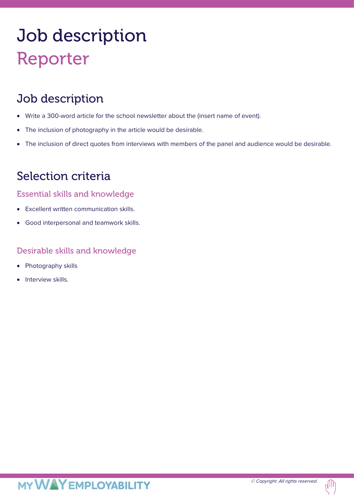# Job description Reporter

## Job description

- Write a 300-word article for the school newsletter about the (insert name of event).
- The inclusion of photography in the article would be desirable.
- The inclusion of direct quotes from interviews with members of the panel and audience would be desirable.

## Selection criteria

#### Essential skills and knowledge

- Excellent written communication skills.
- Good interpersonal and teamwork skills.

#### Desirable skills and knowledge

- Photography skills
- Interview skills.

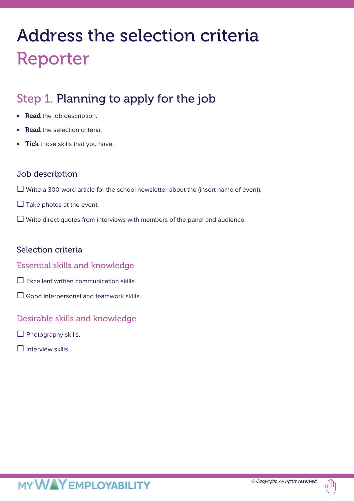## Address the selection criteria Reporter

## Step 1. Planning to apply for the job

- Read the job description.
- **Read** the selection criteria.
- **Tick** those skills that you have.

#### Job description

- $\Box$  Write a 300-word article for the school newsletter about the (insert name of event).
- $\Box$  Take photos at the event.
- $\Box$  Write direct quotes from interviews with members of the panel and audience.

#### Selection criteria

#### Essential skills and knowledge

- $\square$  Excellent written communication skills.
- $\Box$  Good interpersonal and teamwork skills.

#### Desirable skills and knowledge

- $\Box$  Photography skills.
- $\Pi$  Interview skills.

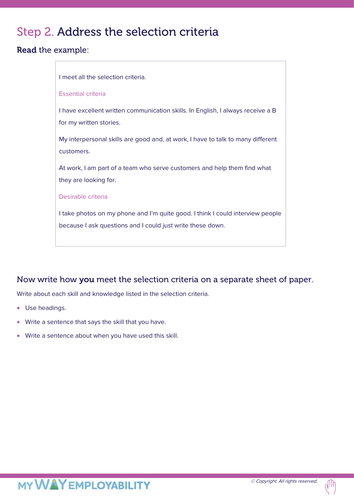## Step 2. Address the selection criteria

#### Read the example:



#### Now write how you meet the selection criteria on a separate sheet of paper.

Write about each skill and knowledge listed in the selection criteria.

- Use headings.
- Write a sentence that says the skill that you have.
- Write a sentence about when you have used this skill.

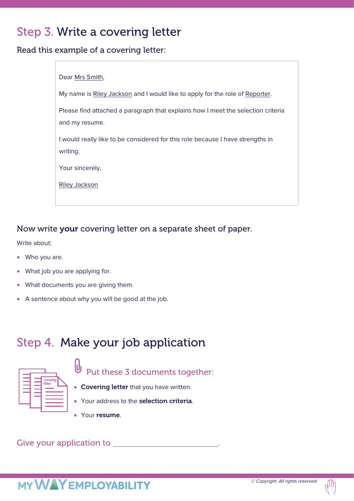## Step 3. Write a covering letter

Read this example of a covering letter:

| Dear Mrs Smith,                                                                  |
|----------------------------------------------------------------------------------|
| My name is Riley Jackson and I would like to apply for the role of Reporter.     |
| Please find attached a paragraph that explains how I meet the selection criteria |
| and my resume.                                                                   |
| I would really like to be considered for this role because I have strengths in   |
| writing.                                                                         |
| Your sincerely,                                                                  |
| Riley Jackson                                                                    |
|                                                                                  |

#### Now write your covering letter on a separate sheet of paper.

Write about:

- Who you are.
- What job you are applying for.
- What documents you are giving them.
- A sentence about why you will be good at the job.

## Step 4. Make your job application



 $\theta$ Put these 3 documents together:

- Covering letter that you have written.
- Your address to the selection criteria.
- Your resume.

Give your application to **EXECUTE:** A CONSERVANCE OF THE SERVICE OF THE SERVICE OF THE SERVICE OF THE SERVICE OF THE SERVICE OF THE SERVICE OF THE SERVICE OF THE SERVICE OF THE SERVICE OF THE SERVICE OF THE SERVICE OF THE